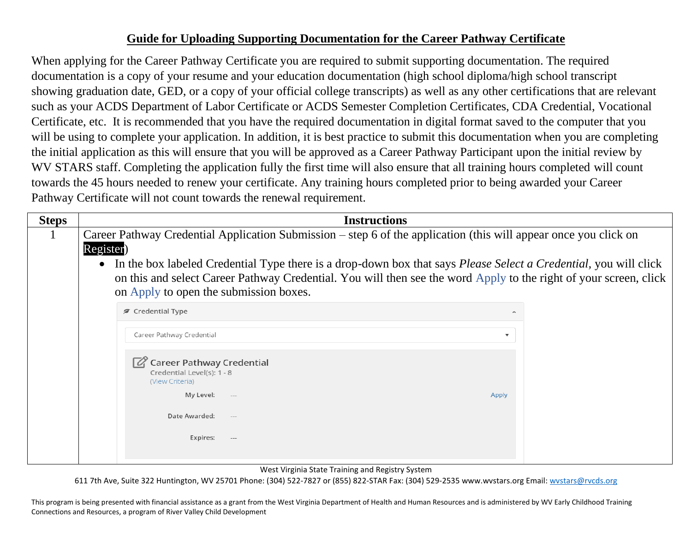## **Guide for Uploading Supporting Documentation for the Career Pathway Certificate**

When applying for the Career Pathway Certificate you are required to submit supporting documentation. The required documentation is a copy of your resume and your education documentation (high school diploma/high school transcript showing graduation date, GED, or a copy of your official college transcripts) as well as any other certifications that are relevant such as your ACDS Department of Labor Certificate or ACDS Semester Completion Certificates, CDA Credential, Vocational Certificate, etc. It is recommended that you have the required documentation in digital format saved to the computer that you will be using to complete your application. In addition, it is best practice to submit this documentation when you are completing the initial application as this will ensure that you will be approved as a Career Pathway Participant upon the initial review by WV STARS staff. Completing the application fully the first time will also ensure that all training hours completed will count towards the 45 hours needed to renew your certificate. Any training hours completed prior to being awarded your Career Pathway Certificate will not count towards the renewal requirement.

| <b>Steps</b> | <b>Instructions</b>                                                                                                                                                                                                                                                                                                                                                                                                                   |
|--------------|---------------------------------------------------------------------------------------------------------------------------------------------------------------------------------------------------------------------------------------------------------------------------------------------------------------------------------------------------------------------------------------------------------------------------------------|
|              | Career Pathway Credential Application Submission – step 6 of the application (this will appear once you click on<br>Register)<br>In the box labeled Credential Type there is a drop-down box that says <i>Please Select a Credential</i> , you will click<br>$\bullet$<br>on this and select Career Pathway Credential. You will then see the word Apply to the right of your screen, click<br>on Apply to open the submission boxes. |
|              | <b>∕</b> Credential Type<br>ㅅ                                                                                                                                                                                                                                                                                                                                                                                                         |
|              | Career Pathway Credential<br>▼                                                                                                                                                                                                                                                                                                                                                                                                        |
|              | Career Pathway Credential<br>Credential Level(s): 1 - 8<br>(View Criteria)                                                                                                                                                                                                                                                                                                                                                            |
|              | My Level:<br>Apply<br>$---$                                                                                                                                                                                                                                                                                                                                                                                                           |
|              | Date Awarded:<br>$---$                                                                                                                                                                                                                                                                                                                                                                                                                |
|              | Expires:<br>$-\, -\, -$                                                                                                                                                                                                                                                                                                                                                                                                               |

West Virginia State Training and Registry System

611 7th Ave, Suite 322 Huntington, WV 25701 Phone: (304) 522-7827 or (855) 822-STAR Fax: (304) 529-2535 www.wvstars.org Email: [wvstars@rvcds.org](mailto:wvstars@rvcds.org)

This program is being presented with financial assistance as a grant from the West Virginia Department of Health and Human Resources and is administered by WV Early Childhood Training Connections and Resources, a program of River Valley Child Development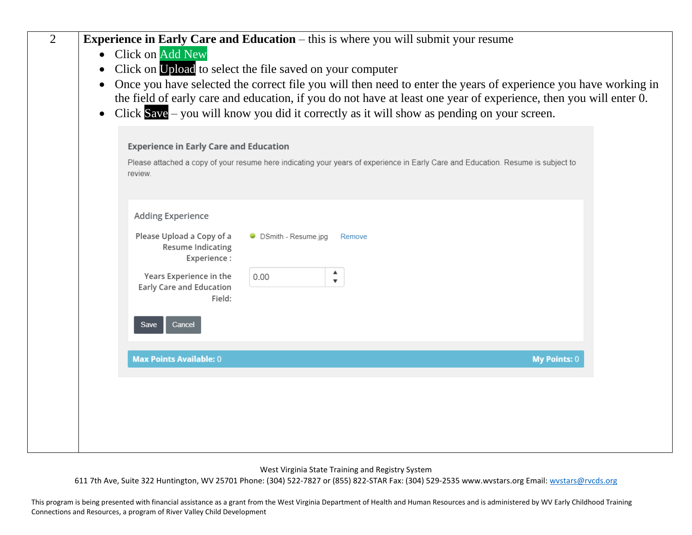| $\overline{2}$ | <b>Experience in Early Care and Education</b> – this is where you will submit your resume<br><b>Click on Add New</b><br>Click on Upload to select the file saved on your computer<br>Once you have selected the correct file you will then need to enter the years of experience you have working in<br>$\bullet$<br>the field of early care and education, if you do not have at least one year of experience, then you will enter 0.<br>Click $Save$ – you will know you did it correctly as it will show as pending on your screen.<br>$\bullet$ |
|----------------|-----------------------------------------------------------------------------------------------------------------------------------------------------------------------------------------------------------------------------------------------------------------------------------------------------------------------------------------------------------------------------------------------------------------------------------------------------------------------------------------------------------------------------------------------------|
|                | <b>Experience in Early Care and Education</b><br>Please attached a copy of your resume here indicating your years of experience in Early Care and Education. Resume is subject to<br>review.                                                                                                                                                                                                                                                                                                                                                        |
|                | Adding Experience<br>Please Upload a Copy of a<br>• DSmith - Resume.jpg<br>Remove<br><b>Resume Indicating</b><br>Experience:<br>▲<br>Years Experience in the<br>0.00<br>$\overline{\mathbf{v}}$<br>Early Care and Education<br>Field:<br>Cancel<br>Save                                                                                                                                                                                                                                                                                             |
|                | <b>Max Points Available: 0</b><br><b>My Points: 0</b>                                                                                                                                                                                                                                                                                                                                                                                                                                                                                               |
|                |                                                                                                                                                                                                                                                                                                                                                                                                                                                                                                                                                     |

West Virginia State Training and Registry System

611 7th Ave, Suite 322 Huntington, WV 25701 Phone: (304) 522-7827 or (855) 822-STAR Fax: (304) 529-2535 www.wvstars.org Email: [wvstars@rvcds.org](mailto:wvstars@rvcds.org)

This program is being presented with financial assistance as a grant from the West Virginia Department of Health and Human Resources and is administered by WV Early Childhood Training Connections and Resources, a program of River Valley Child Development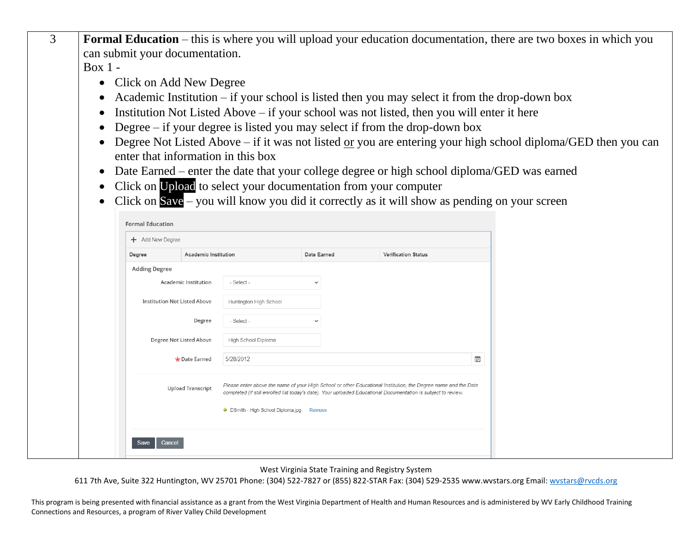| can submit your documentation.                                |                                                                                                                                                                                                                                                                                                                                                                                                                                                                                                                                                  |                            |   |                                                                                                              |
|---------------------------------------------------------------|--------------------------------------------------------------------------------------------------------------------------------------------------------------------------------------------------------------------------------------------------------------------------------------------------------------------------------------------------------------------------------------------------------------------------------------------------------------------------------------------------------------------------------------------------|----------------------------|---|--------------------------------------------------------------------------------------------------------------|
| Box 1 -                                                       |                                                                                                                                                                                                                                                                                                                                                                                                                                                                                                                                                  |                            |   |                                                                                                              |
| Click on Add New Degree<br>enter that information in this box | Academic Institution $-$ if your school is listed then you may select it from the drop-down box<br>Institution Not Listed Above – if your school was not listed, then you will enter it here<br>Degree $-$ if your degree is listed you may select if from the drop-down box<br>Date Earned – enter the date that your college degree or high school diploma/GED was earned<br>Click on Upload to select your documentation from your computer<br>Click on $Save$ – you will know you did it correctly as it will show as pending on your screen |                            |   | Degree Not Listed Above – if it was not listed or you are entering your high school diploma/GED then you can |
| <b>Formal Education</b>                                       |                                                                                                                                                                                                                                                                                                                                                                                                                                                                                                                                                  |                            |   |                                                                                                              |
| + Add New Degree                                              |                                                                                                                                                                                                                                                                                                                                                                                                                                                                                                                                                  |                            |   |                                                                                                              |
| <b>Academic Institution</b><br>Degree                         | Date Earned                                                                                                                                                                                                                                                                                                                                                                                                                                                                                                                                      | <b>Verification Status</b> |   |                                                                                                              |
| <b>Adding Degree</b>                                          |                                                                                                                                                                                                                                                                                                                                                                                                                                                                                                                                                  |                            |   |                                                                                                              |
| Academic Institution                                          | - Select -                                                                                                                                                                                                                                                                                                                                                                                                                                                                                                                                       |                            |   |                                                                                                              |
| Institution Not Listed Above                                  | Huntington High School                                                                                                                                                                                                                                                                                                                                                                                                                                                                                                                           |                            |   |                                                                                                              |
| Degree                                                        | - Select -                                                                                                                                                                                                                                                                                                                                                                                                                                                                                                                                       |                            |   |                                                                                                              |
| Degree Not Listed Above                                       | High School Diploma                                                                                                                                                                                                                                                                                                                                                                                                                                                                                                                              |                            |   |                                                                                                              |
| * Date Earned                                                 | 5/28/2012                                                                                                                                                                                                                                                                                                                                                                                                                                                                                                                                        |                            | Ð |                                                                                                              |
| <b>Upload Transcript</b>                                      | Please enter above the name of your High School or other Educational Institution, the Degree name and the Date<br>completed (if still enrolled list today's date). Your uploaded Educational Documentation is subject to review                                                                                                                                                                                                                                                                                                                  |                            |   |                                                                                                              |
|                                                               | • DSmith - High School Diploma.jpg<br>Remove                                                                                                                                                                                                                                                                                                                                                                                                                                                                                                     |                            |   |                                                                                                              |
| Cancel<br>Save                                                |                                                                                                                                                                                                                                                                                                                                                                                                                                                                                                                                                  |                            |   |                                                                                                              |
|                                                               |                                                                                                                                                                                                                                                                                                                                                                                                                                                                                                                                                  |                            |   |                                                                                                              |

3 **Formal Education** – this is where you will upload your education documentation, there are two boxes in which you

West Virginia State Training and Registry System

611 7th Ave, Suite 322 Huntington, WV 25701 Phone: (304) 522-7827 or (855) 822-STAR Fax: (304) 529-2535 www.wvstars.org Email: [wvstars@rvcds.org](mailto:wvstars@rvcds.org)

This program is being presented with financial assistance as a grant from the West Virginia Department of Health and Human Resources and is administered by WV Early Childhood Training Connections and Resources, a program of River Valley Child Development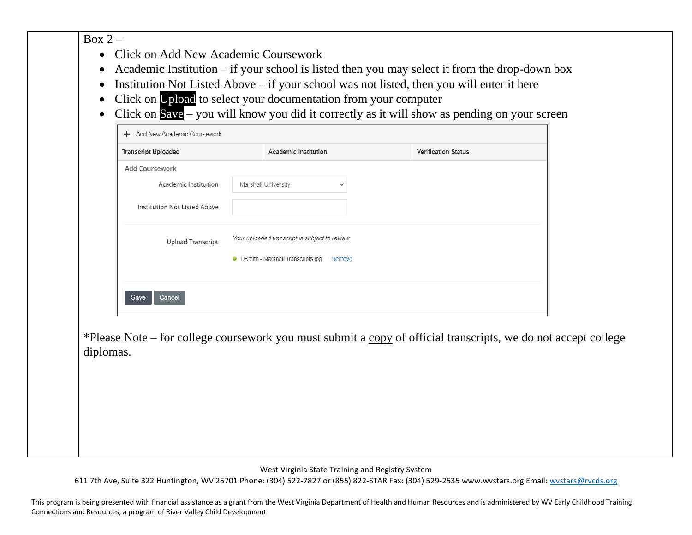## Box  $2-$

- Click on Add New Academic Coursework
- Academic Institution if your school is listed then you may select it from the drop-down box
- Institution Not Listed Above if your school was not listed, then you will enter it here
- Click on Upload to select your documentation from your computer
- Click on Save you will know you did it correctly as it will show as pending on your screen

| <b>Transcript Uploaded</b>          | Academic Institution                           |              | <b>Verification Status</b> |
|-------------------------------------|------------------------------------------------|--------------|----------------------------|
| Add Coursework                      |                                                |              |                            |
| Academic Institution                | Marshall University                            | $\checkmark$ |                            |
|                                     |                                                |              |                            |
| <b>Institution Not Listed Above</b> |                                                |              |                            |
|                                     |                                                |              |                            |
| <b>Upload Transcript</b>            | Your uploaded transcript is subject to review. |              |                            |
|                                     | • DSmith - Marshall Transcripts.jpg            | Remove       |                            |
|                                     |                                                |              |                            |
|                                     |                                                |              |                            |

\*Please Note – for college coursework you must submit a copy of official transcripts, we do not accept college diplomas.

West Virginia State Training and Registry System

611 7th Ave, Suite 322 Huntington, WV 25701 Phone: (304) 522-7827 or (855) 822-STAR Fax: (304) 529-2535 www.wvstars.org Email: [wvstars@rvcds.org](mailto:wvstars@rvcds.org)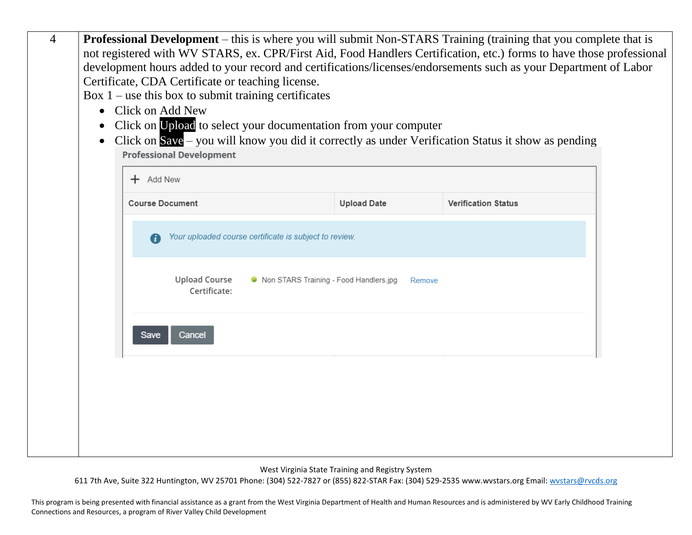| $\overline{4}$ | $\bullet$ | Certificate, CDA Certificate or teaching license.<br>Box $1$ – use this box to submit training certificates<br>• Click on Add New<br>• Click on Upload to select your documentation from your computer<br><b>Professional Development</b> |                                                        |                    | <b>Professional Development</b> – this is where you will submit Non-STARS Training (training that you complete that is<br>not registered with WV STARS, ex. CPR/First Aid, Food Handlers Certification, etc.) forms to have those professional<br>development hours added to your record and certifications/licenses/endorsements such as your Department of Labor<br>Click on $Save$ – you will know you did it correctly as under Verification Status it show as pending |  |
|----------------|-----------|-------------------------------------------------------------------------------------------------------------------------------------------------------------------------------------------------------------------------------------------|--------------------------------------------------------|--------------------|----------------------------------------------------------------------------------------------------------------------------------------------------------------------------------------------------------------------------------------------------------------------------------------------------------------------------------------------------------------------------------------------------------------------------------------------------------------------------|--|
|                |           | $+$ Add New                                                                                                                                                                                                                               |                                                        |                    |                                                                                                                                                                                                                                                                                                                                                                                                                                                                            |  |
|                |           | <b>Course Document</b>                                                                                                                                                                                                                    |                                                        | <b>Upload Date</b> | <b>Verification Status</b>                                                                                                                                                                                                                                                                                                                                                                                                                                                 |  |
|                |           |                                                                                                                                                                                                                                           | Your uploaded course certificate is subject to review. |                    |                                                                                                                                                                                                                                                                                                                                                                                                                                                                            |  |
|                |           | <b>Upload Course</b><br>Certificate:                                                                                                                                                                                                      | • Non STARS Training - Food Handlers.jpg               |                    | Remove                                                                                                                                                                                                                                                                                                                                                                                                                                                                     |  |
|                |           | Save<br>Cancel                                                                                                                                                                                                                            |                                                        |                    |                                                                                                                                                                                                                                                                                                                                                                                                                                                                            |  |
|                |           |                                                                                                                                                                                                                                           |                                                        |                    |                                                                                                                                                                                                                                                                                                                                                                                                                                                                            |  |
|                |           |                                                                                                                                                                                                                                           |                                                        |                    |                                                                                                                                                                                                                                                                                                                                                                                                                                                                            |  |
|                |           |                                                                                                                                                                                                                                           |                                                        |                    |                                                                                                                                                                                                                                                                                                                                                                                                                                                                            |  |

West Virginia State Training and Registry System

611 7th Ave, Suite 322 Huntington, WV 25701 Phone: (304) 522-7827 or (855) 822-STAR Fax: (304) 529-2535 www.wvstars.org Email: [wvstars@rvcds.org](mailto:wvstars@rvcds.org)

This program is being presented with financial assistance as a grant from the West Virginia Department of Health and Human Resources and is administered by WV Early Childhood Training Connections and Resources, a program of River Valley Child Development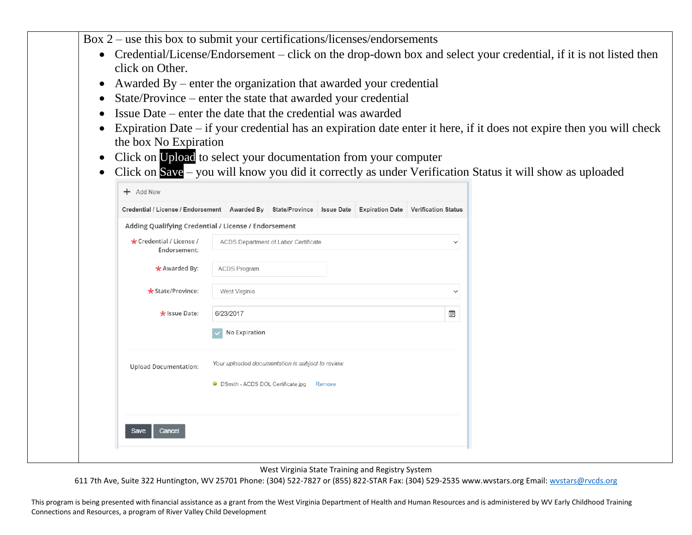Box 2 – use this box to submit your certifications/licenses/endorsements

- Credential/License/Endorsement click on the drop-down box and select your credential, if it is not listed then click on Other.
- Awarded By enter the organization that awarded your credential
- State/Province enter the state that awarded your credential
- Issue Date enter the date that the credential was awarded
- Expiration Date if your credential has an expiration date enter it here, if it does not expire then you will check the box No Expiration
- Click on Upload to select your documentation from your computer
- Click on Save you will know you did it correctly as under Verification Status it will show as uploaded

| Credential / License / Endorsement   Awarded By      |                     |               | State/Province                                    | <b>Issue Date</b> | <b>Expiration Date</b> | <b>Verification Status</b> |
|------------------------------------------------------|---------------------|---------------|---------------------------------------------------|-------------------|------------------------|----------------------------|
| Adding Qualifying Credential / License / Endorsement |                     |               |                                                   |                   |                        |                            |
| * Credential / License /<br>Endorsement:             |                     |               | ACDS Department of Labor Certificate              |                   |                        | $\checkmark$               |
| $\bigstar$ Awarded By:                               | <b>ACDS Program</b> |               |                                                   |                   |                        |                            |
| * State/Province:                                    | West Virginia       |               |                                                   |                   |                        | $\checkmark$               |
| * Issue Date:                                        | 6/23/2017           |               |                                                   |                   |                        | Ê                          |
|                                                      |                     | No Expiration |                                                   |                   |                        |                            |
| <b>Upload Documentation:</b>                         |                     |               | Your uploaded documentation is subject to review. |                   |                        |                            |
|                                                      |                     |               | • DSmith - ACDS DOL Certificate.jpg               | Remove            |                        |                            |
|                                                      |                     |               |                                                   |                   |                        |                            |
| Save<br>Cancel                                       |                     |               |                                                   |                   |                        |                            |

West Virginia State Training and Registry System

611 7th Ave, Suite 322 Huntington, WV 25701 Phone: (304) 522-7827 or (855) 822-STAR Fax: (304) 529-2535 www.wvstars.org Email: [wvstars@rvcds.org](mailto:wvstars@rvcds.org)

This program is being presented with financial assistance as a grant from the West Virginia Department of Health and Human Resources and is administered by WV Early Childhood Training Connections and Resources, a program of River Valley Child Development